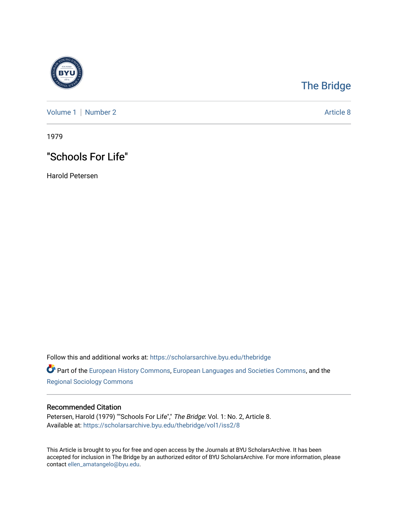

# [The Bridge](https://scholarsarchive.byu.edu/thebridge)

[Volume 1](https://scholarsarchive.byu.edu/thebridge/vol1) | [Number 2](https://scholarsarchive.byu.edu/thebridge/vol1/iss2) Article 8

1979

## "Schools For Life"

Harold Petersen

Follow this and additional works at: [https://scholarsarchive.byu.edu/thebridge](https://scholarsarchive.byu.edu/thebridge?utm_source=scholarsarchive.byu.edu%2Fthebridge%2Fvol1%2Fiss2%2F8&utm_medium=PDF&utm_campaign=PDFCoverPages) 

**Part of the [European History Commons](http://network.bepress.com/hgg/discipline/492?utm_source=scholarsarchive.byu.edu%2Fthebridge%2Fvol1%2Fiss2%2F8&utm_medium=PDF&utm_campaign=PDFCoverPages), [European Languages and Societies Commons,](http://network.bepress.com/hgg/discipline/482?utm_source=scholarsarchive.byu.edu%2Fthebridge%2Fvol1%2Fiss2%2F8&utm_medium=PDF&utm_campaign=PDFCoverPages) and the** [Regional Sociology Commons](http://network.bepress.com/hgg/discipline/427?utm_source=scholarsarchive.byu.edu%2Fthebridge%2Fvol1%2Fiss2%2F8&utm_medium=PDF&utm_campaign=PDFCoverPages) 

### Recommended Citation

Petersen, Harold (1979) ""Schools For Life"," The Bridge: Vol. 1: No. 2, Article 8. Available at: [https://scholarsarchive.byu.edu/thebridge/vol1/iss2/8](https://scholarsarchive.byu.edu/thebridge/vol1/iss2/8?utm_source=scholarsarchive.byu.edu%2Fthebridge%2Fvol1%2Fiss2%2F8&utm_medium=PDF&utm_campaign=PDFCoverPages)

This Article is brought to you for free and open access by the Journals at BYU ScholarsArchive. It has been accepted for inclusion in The Bridge by an authorized editor of BYU ScholarsArchive. For more information, please contact [ellen\\_amatangelo@byu.edu.](mailto:ellen_amatangelo@byu.edu)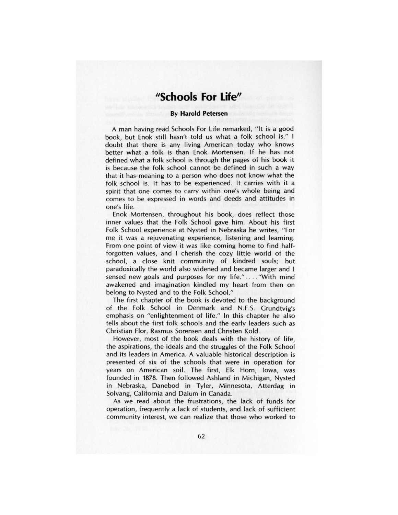### **"Schools For Life"**

#### **By Harold Petersen**

A man having read Schools For Life remarked, "It is a good book, but Enok still hasn't told us what a folk school is." I doubt that there is any living American today who knows better what a folk is than Enok Mortensen. If he has not defined what a folk school is through the pages of his book it is because- the folk school cannot be defined in such a way that it has- meaning to a person who does not know what the folk school is. It has to be experienced. It carries with it a spirit that one comes to carry within one's whole being and comes to be expressed in words and deeds and attitudes in one's life.

Enok Mortensen, throughout his book, does reflect those inner values that the Folk School gave him. About his first Folk School experience at Nysted in Nebraska he writes, " For me it was a rejuvenating experience, listening and learning. From one point of view it was like coming home to find halfforgotten values, and I cherish the cozy little world of the school, a close knit community of kindred souls; but paradoxically the world also widened and became larger and I sensed new goals and purposes for my life." .... "With mind awakened and imagination kindled my heart from then on belong to Nysted and to the Folk School."

The first chapter of the book is devoted to the background of the Folk School in Denmark and N.F.S. Grundtvig's emphasis on "enlightenment of life." In this chapter he also tells about the first folk schools and the early leaders such as Christian Flor, Rasmus Sorensen and Christen Kold.

However, most of the book deals with the history of life, the aspirations, the ideals and the struggles of the Folk School and its leaders in America. A valuable historical description is presented of six of the schools that were in operation for years on American soil. The first, Elk Horn, Iowa, was founded in 1878. Then followed Ashland in Michigan, Nysted in Nebraska, Danebod in Tyler, Minnesota, Atterdag in Solvang, California and Dalum in Canada.

As we read about the frustrations, the lack of funds for operation, frequently a lack of students, and lack of sufficient community interest, we can realize that those who worked to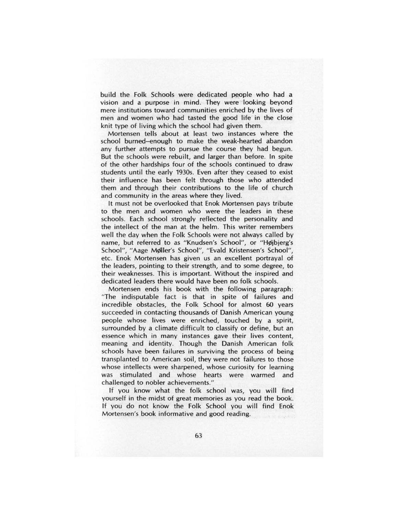build the Folk Schools were dedicated people who had a vision and a purpose in mind. They were looking beyond mere institutions toward communities enriched by the lives of men and women who had tasted the good life in the close knit type of living which the school had given them.

Mortensen tells about at least two instances where the school burned-enough to make the weak-hearted abandon any further attempts to pursue the course they had begun. But the schools were rebuilt, and larger than before. In spite of the other hardships four of the schools continued to draw students until the early 1930s. Even after they ceased to exist their influence has been felt through those who attended them and through their contributions to the life of church and community in the areas where they lived.

It must not be overlooked that Enok Mortensen pays tribute to the men and women who were the leaders in these schools. Each school strongly reflected the personality and the intellect of the man at the helm. This writer remembers well the day when the Folk Schools were not always called by name, but referred to as "Knudsen's School", or "Højbjerg's School", "Aage Møller's School", "Evald Kristensen's School", etc. Enok Mortensen has given us an excellent portrayal of the leaders, pointing to their strength, and to some degree, to their weaknesses. This is important. Without the inspired and dedicated leaders there would have been no folk schools.

Mortensen ends his book with the following paragraph: "The indisputable fact is that in spite of failures and incredible obstacles, the Folk School for almost 60 years succeeded in contacting thousands of Danish American young people whose lives were enriched, touched by a spirit, surrounded by a climate difficult to classify or define, but an essence which in many instances gave their lives content, meaning and identity. Though the Danish American folk schools have been failures in surviving the process of being transplanted to American soil, they were not failures to those whose intellects were sharpened, whose curiosity for learning was stimulated and whose hearts were warmed and challenged to nobler achievements."

If you know what the folk school was, you will find yourself in the midst of great memories as you read the book. If you do not know the Folk School you will find Enok Mortensen's book informative and good reading.